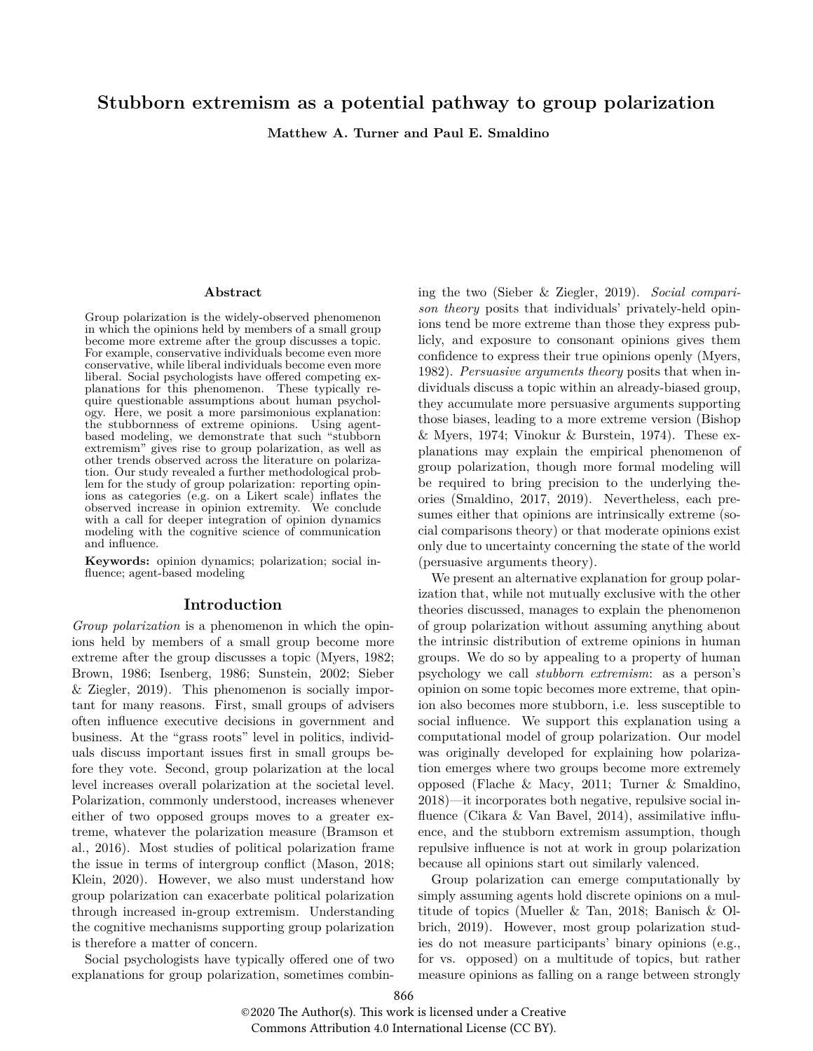# **Stubborn extremism as a potential pathway to group polarization**

**Matthew A. Turner and Paul E. Smaldino**

#### **Abstract**

Group polarization is the widely-observed phenomenon in which the opinions held by members of a small group become more extreme after the group discusses a topic. For example, conservative individuals become even more conservative, while liberal individuals become even more liberal. Social psychologists have offered competing explanations for this phenomenon. These typically require questionable assumptions about human psychology. Here, we posit a more parsimonious explanation: the stubbornness of extreme opinions. Using agentbased modeling, we demonstrate that such "stubborn extremism" gives rise to group polarization, as well as other trends observed across the literature on polarization. Our study revealed a further methodological problem for the study of group polarization: reporting opinions as categories (e.g. on a Likert scale) inflates the observed increase in opinion extremity. We conclude with a call for deeper integration of opinion dynamics modeling with the cognitive science of communication and influence.

**Keywords:** opinion dynamics; polarization; social influence; agent-based modeling

#### **Introduction**

*Group polarization* is a phenomenon in which the opinions held by members of a small group become more extreme after the group discusses a topic [\(Myers,](#page-6-0) [1982;](#page-6-0) [Brown,](#page-5-0) [1986;](#page-5-0) [Isenberg,](#page-6-1) [1986;](#page-6-1) [Sunstein,](#page-6-2) [2002;](#page-6-2) [Sieber](#page-6-3) [& Ziegler,](#page-6-3) [2019\)](#page-6-3). This phenomenon is socially important for many reasons. First, small groups of advisers often influence executive decisions in government and business. At the "grass roots" level in politics, individuals discuss important issues first in small groups before they vote. Second, group polarization at the local level increases overall polarization at the societal level. Polarization, commonly understood, increases whenever either of two opposed groups moves to a greater extreme, whatever the polarization measure [\(Bramson et](#page-5-1) [al.,](#page-5-1) [2016\)](#page-5-1). Most studies of political polarization frame the issue in terms of intergroup conflict [\(Mason,](#page-6-4) [2018;](#page-6-4) [Klein,](#page-6-5) [2020\)](#page-6-5). However, we also must understand how group polarization can exacerbate political polarization through increased in-group extremism. Understanding the cognitive mechanisms supporting group polarization is therefore a matter of concern.

Social psychologists have typically offered one of two explanations for group polarization, sometimes combining the two [\(Sieber & Ziegler,](#page-6-3) [2019\)](#page-6-3). *Social comparison theory* posits that individuals' privately-held opinions tend be more extreme than those they express publicly, and exposure to consonant opinions gives them confidence to express their true opinions openly [\(Myers,](#page-6-0) [1982\)](#page-6-0). *Persuasive arguments theory* posits that when individuals discuss a topic within an already-biased group, they accumulate more persuasive arguments supporting those biases, leading to a more extreme version [\(Bishop](#page-5-2) [& Myers,](#page-5-2) [1974;](#page-5-2) [Vinokur & Burstein,](#page-6-6) [1974\)](#page-6-6). These explanations may explain the empirical phenomenon of group polarization, though more formal modeling will be required to bring precision to the underlying theories [\(Smaldino,](#page-6-7) [2017,](#page-6-7) [2019\)](#page-6-8). Nevertheless, each presumes either that opinions are intrinsically extreme (social comparisons theory) or that moderate opinions exist only due to uncertainty concerning the state of the world (persuasive arguments theory).

We present an alternative explanation for group polarization that, while not mutually exclusive with the other theories discussed, manages to explain the phenomenon of group polarization without assuming anything about the intrinsic distribution of extreme opinions in human groups. We do so by appealing to a property of human psychology we call *stubborn extremism*: as a person's opinion on some topic becomes more extreme, that opinion also becomes more stubborn, i.e. less susceptible to social influence. We support this explanation using a computational model of group polarization. Our model was originally developed for explaining how polarization emerges where two groups become more extremely opposed [\(Flache & Macy,](#page-6-9) [2011;](#page-6-9) [Turner & Smaldino,](#page-6-10) [2018\)](#page-6-10)—it incorporates both negative, repulsive social influence [\(Cikara & Van Bavel,](#page-5-3) [2014\)](#page-5-3), assimilative influence, and the stubborn extremism assumption, though repulsive influence is not at work in group polarization because all opinions start out similarly valenced.

Group polarization can emerge computationally by simply assuming agents hold discrete opinions on a multitude of topics [\(Mueller & Tan,](#page-6-11) [2018;](#page-6-11) [Banisch & Ol](#page-5-4)[brich,](#page-5-4) [2019\)](#page-5-4). However, most group polarization studies do not measure participants' binary opinions (e.g., for vs. opposed) on a multitude of topics, but rather measure opinions as falling on a range between strongly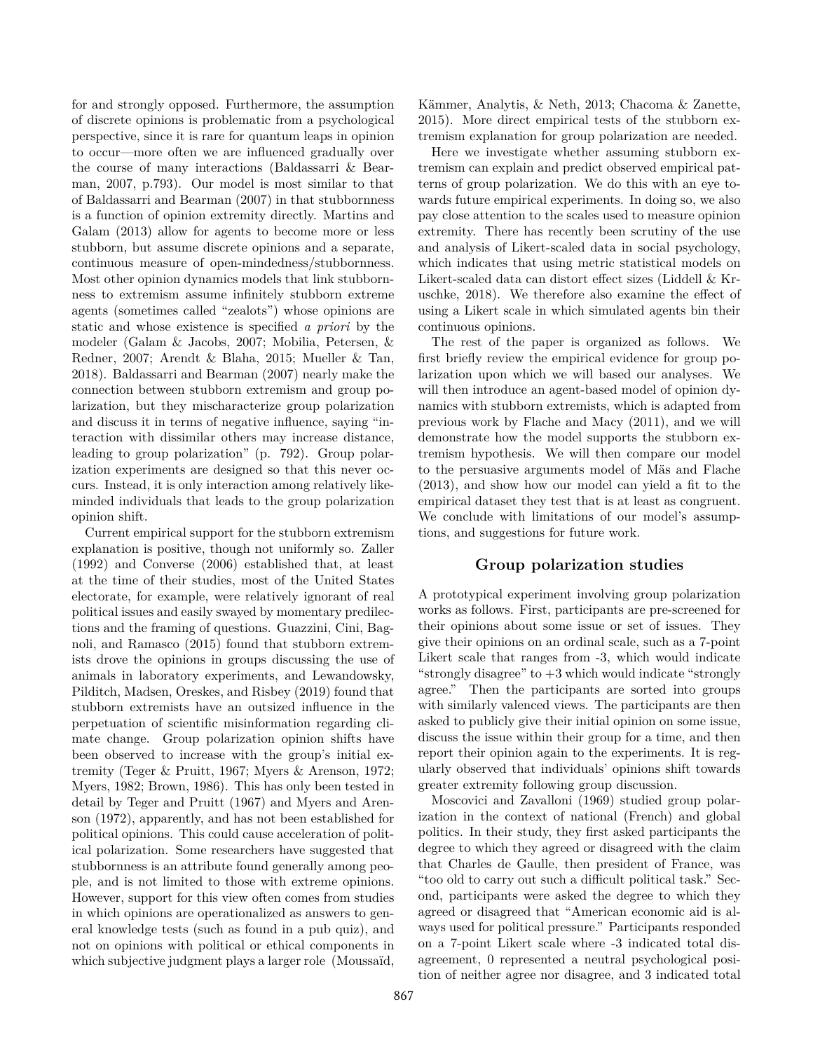for and strongly opposed. Furthermore, the assumption of discrete opinions is problematic from a psychological perspective, since it is rare for quantum leaps in opinion to occur—more often we are influenced gradually over the course of many interactions [\(Baldassarri & Bear](#page-5-5)[man,](#page-5-5) [2007,](#page-5-5) p.793). Our model is most similar to that of [Baldassarri and Bearman](#page-5-5) [\(2007\)](#page-5-5) in that stubbornness is a function of opinion extremity directly. [Martins and](#page-6-12) [Galam](#page-6-12) [\(2013\)](#page-6-12) allow for agents to become more or less stubborn, but assume discrete opinions and a separate, continuous measure of open-mindedness/stubbornness. Most other opinion dynamics models that link stubbornness to extremism assume infinitely stubborn extreme agents (sometimes called "zealots") whose opinions are static and whose existence is specified *a priori* by the modeler [\(Galam & Jacobs,](#page-6-13) [2007;](#page-6-13) [Mobilia, Petersen, &](#page-6-14) [Redner,](#page-6-14) [2007;](#page-6-14) [Arendt & Blaha,](#page-5-6) [2015;](#page-5-6) [Mueller & Tan,](#page-6-11) [2018\)](#page-6-11). [Baldassarri and Bearman](#page-5-5) [\(2007\)](#page-5-5) nearly make the connection between stubborn extremism and group polarization, but they mischaracterize group polarization and discuss it in terms of negative influence, saying "interaction with dissimilar others may increase distance, leading to group polarization" (p. 792). Group polarization experiments are designed so that this never occurs. Instead, it is only interaction among relatively likeminded individuals that leads to the group polarization opinion shift.

Current empirical support for the stubborn extremism explanation is positive, though not uniformly so. [Zaller](#page-6-15) [\(1992\)](#page-6-15) and [Converse](#page-5-7) [\(2006\)](#page-5-7) established that, at least at the time of their studies, most of the United States electorate, for example, were relatively ignorant of real political issues and easily swayed by momentary predilections and the framing of questions. [Guazzini, Cini, Bag](#page-6-16)[noli, and Ramasco](#page-6-16) [\(2015\)](#page-6-16) found that stubborn extremists drove the opinions in groups discussing the use of animals in laboratory experiments, and [Lewandowsky,](#page-6-17) [Pilditch, Madsen, Oreskes, and Risbey](#page-6-17) [\(2019\)](#page-6-17) found that stubborn extremists have an outsized influence in the perpetuation of scientific misinformation regarding climate change. Group polarization opinion shifts have been observed to increase with the group's initial extremity [\(Teger & Pruitt,](#page-6-18) [1967;](#page-6-18) [Myers & Arenson,](#page-6-19) [1972;](#page-6-19) [Myers,](#page-6-0) [1982;](#page-6-0) [Brown,](#page-5-0) [1986\)](#page-5-0). This has only been tested in detail by [Teger and Pruitt](#page-6-18) [\(1967\)](#page-6-18) and [Myers and Aren](#page-6-19)[son](#page-6-19) [\(1972\)](#page-6-19), apparently, and has not been established for political opinions. This could cause acceleration of political polarization. Some researchers have suggested that stubbornness is an attribute found generally among people, and is not limited to those with extreme opinions. However, support for this view often comes from studies in which opinions are operationalized as answers to general knowledge tests (such as found in a pub quiz), and not on opinions with political or ethical components in which subjective judgment plays a larger role (Moussaïd,

Kämmer, Analytis, & Neth, [2013;](#page-6-20) [Chacoma & Zanette,](#page-5-8) [2015\)](#page-5-8). More direct empirical tests of the stubborn extremism explanation for group polarization are needed.

Here we investigate whether assuming stubborn extremism can explain and predict observed empirical patterns of group polarization. We do this with an eye towards future empirical experiments. In doing so, we also pay close attention to the scales used to measure opinion extremity. There has recently been scrutiny of the use and analysis of Likert-scaled data in social psychology, which indicates that using metric statistical models on Likert-scaled data can distort effect sizes [\(Liddell & Kr](#page-6-21)[uschke,](#page-6-21) [2018\)](#page-6-21). We therefore also examine the effect of using a Likert scale in which simulated agents bin their continuous opinions.

The rest of the paper is organized as follows. We first briefly review the empirical evidence for group polarization upon which we will based our analyses. We will then introduce an agent-based model of opinion dynamics with stubborn extremists, which is adapted from previous work by Flache and Macy (2011), and we will demonstrate how the model supports the stubborn extremism hypothesis. We will then compare our model to the persuasive arguments model of Mäs and Flache [\(2013\)](#page-6-22), and show how our model can yield a fit to the empirical dataset they test that is at least as congruent. We conclude with limitations of our model's assumptions, and suggestions for future work.

## **Group polarization studies**

A prototypical experiment involving group polarization works as follows. First, participants are pre-screened for their opinions about some issue or set of issues. They give their opinions on an ordinal scale, such as a 7-point Likert scale that ranges from -3, which would indicate "strongly disagree" to  $+3$  which would indicate "strongly" agree." Then the participants are sorted into groups with similarly valenced views. The participants are then asked to publicly give their initial opinion on some issue, discuss the issue within their group for a time, and then report their opinion again to the experiments. It is regularly observed that individuals' opinions shift towards greater extremity following group discussion.

[Moscovici and Zavalloni](#page-6-23) [\(1969\)](#page-6-23) studied group polarization in the context of national (French) and global politics. In their study, they first asked participants the degree to which they agreed or disagreed with the claim that Charles de Gaulle, then president of France, was "too old to carry out such a difficult political task." Second, participants were asked the degree to which they agreed or disagreed that "American economic aid is always used for political pressure." Participants responded on a 7-point Likert scale where -3 indicated total disagreement, 0 represented a neutral psychological position of neither agree nor disagree, and 3 indicated total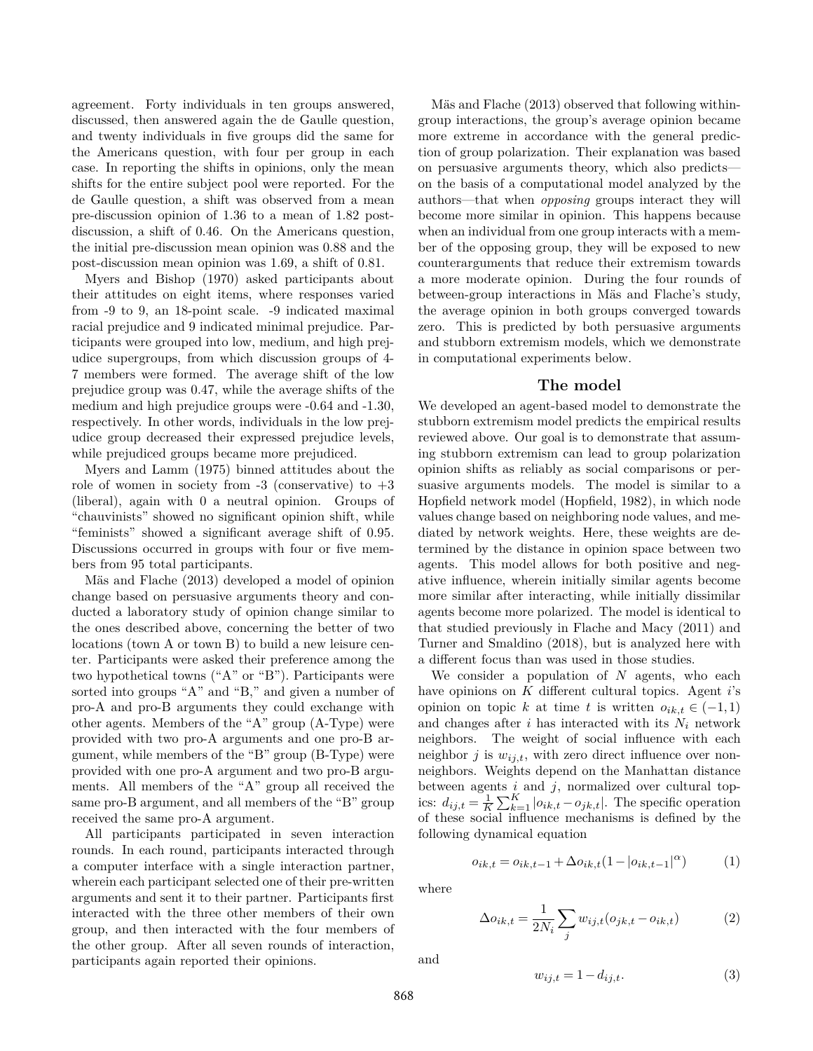agreement. Forty individuals in ten groups answered, discussed, then answered again the de Gaulle question, and twenty individuals in five groups did the same for the Americans question, with four per group in each case. In reporting the shifts in opinions, only the mean shifts for the entire subject pool were reported. For the de Gaulle question, a shift was observed from a mean pre-discussion opinion of 1.36 to a mean of 1.82 postdiscussion, a shift of 0.46. On the Americans question, the initial pre-discussion mean opinion was 0.88 and the post-discussion mean opinion was 1.69, a shift of 0.81.

[Myers and Bishop](#page-6-24) [\(1970\)](#page-6-24) asked participants about their attitudes on eight items, where responses varied from -9 to 9, an 18-point scale. -9 indicated maximal racial prejudice and 9 indicated minimal prejudice. Participants were grouped into low, medium, and high prejudice supergroups, from which discussion groups of 4- 7 members were formed. The average shift of the low prejudice group was 0.47, while the average shifts of the medium and high prejudice groups were -0.64 and -1.30, respectively. In other words, individuals in the low prejudice group decreased their expressed prejudice levels, while prejudiced groups became more prejudiced.

[Myers and Lamm](#page-6-25) [\(1975\)](#page-6-25) binned attitudes about the role of women in society from  $-3$  (conservative) to  $+3$ (liberal), again with 0 a neutral opinion. Groups of "chauvinists" showed no significant opinion shift, while "feminists" showed a significant average shift of 0.95. Discussions occurred in groups with four or five members from 95 total participants.

Mäs and Flache [\(2013\)](#page-6-22) developed a model of opinion change based on persuasive arguments theory and conducted a laboratory study of opinion change similar to the ones described above, concerning the better of two locations (town A or town B) to build a new leisure center. Participants were asked their preference among the two hypothetical towns ("A" or "B"). Participants were sorted into groups "A" and "B," and given a number of pro-A and pro-B arguments they could exchange with other agents. Members of the "A" group (A-Type) were provided with two pro-A arguments and one pro-B argument, while members of the "B" group (B-Type) were provided with one pro-A argument and two pro-B arguments. All members of the "A" group all received the same pro-B argument, and all members of the "B" group received the same pro-A argument.

All participants participated in seven interaction rounds. In each round, participants interacted through a computer interface with a single interaction partner, wherein each participant selected one of their pre-written arguments and sent it to their partner. Participants first interacted with the three other members of their own group, and then interacted with the four members of the other group. After all seven rounds of interaction, participants again reported their opinions.

Mäs and Flache  $(2013)$  observed that following withingroup interactions, the group's average opinion became more extreme in accordance with the general prediction of group polarization. Their explanation was based on persuasive arguments theory, which also predicts on the basis of a computational model analyzed by the authors—that when *opposing* groups interact they will become more similar in opinion. This happens because when an individual from one group interacts with a member of the opposing group, they will be exposed to new counterarguments that reduce their extremism towards a more moderate opinion. During the four rounds of between-group interactions in Mäs and Flache's study, the average opinion in both groups converged towards zero. This is predicted by both persuasive arguments and stubborn extremism models, which we demonstrate in computational experiments below.

### **The model**

We developed an agent-based model to demonstrate the stubborn extremism model predicts the empirical results reviewed above. Our goal is to demonstrate that assuming stubborn extremism can lead to group polarization opinion shifts as reliably as social comparisons or persuasive arguments models. The model is similar to a Hopfield network model [\(Hopfield,](#page-6-26) [1982\)](#page-6-26), in which node values change based on neighboring node values, and mediated by network weights. Here, these weights are determined by the distance in opinion space between two agents. This model allows for both positive and negative influence, wherein initially similar agents become more similar after interacting, while initially dissimilar agents become more polarized. The model is identical to that studied previously in [Flache and Macy](#page-6-9) [\(2011\)](#page-6-9) and [Turner and Smaldino](#page-6-10) [\(2018\)](#page-6-10), but is analyzed here with a different focus than was used in those studies.

We consider a population of *N* agents, who each have opinions on *K* different cultural topics. Agent *i*'s opinion on topic *k* at time *t* is written  $o_{ik,t} \in (-1,1)$ and changes after  $i$  has interacted with its  $N_i$  network neighbors. The weight of social influence with each neighbor  $j$  is  $w_{ij,t}$ , with zero direct influence over nonneighbors. Weights depend on the Manhattan distance between agents *i* and *j*, normalized over cultural topics:  $d_{ij,t} = \frac{1}{K} \sum_{k=1}^{K} |o_{ik,t} - o_{jk,t}|$ . The specific operation of these social influence mechanisms is defined by the following dynamical equation

<span id="page-2-0"></span>
$$
o_{ik,t}=o_{ik,t-1}+\Delta o_{ik,t}(1-\left|o_{ik,t-1}\right|^\alpha)\qquad \quad (1)
$$

where

$$
\Delta o_{ik,t} = \frac{1}{2N_i} \sum_j w_{ij,t} (o_{jk,t} - o_{ik,t})
$$
 (2)

and

$$
w_{ij,t} = 1 - d_{ij,t}.\tag{3}
$$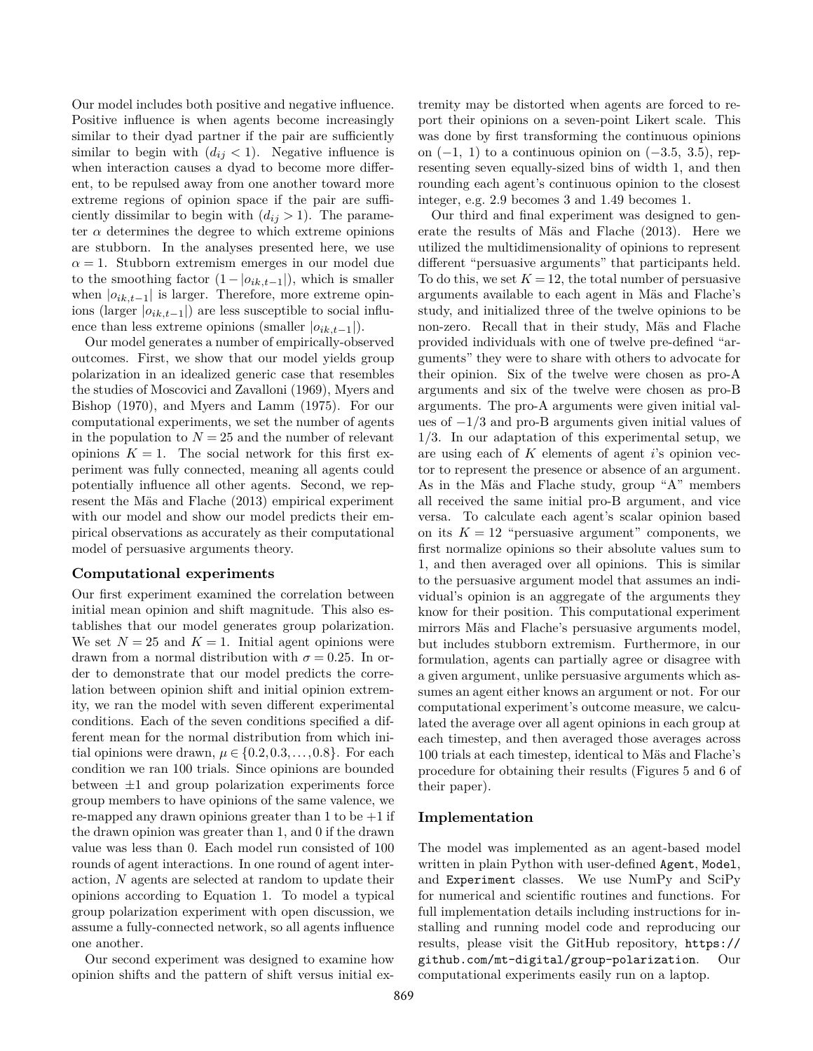Our model includes both positive and negative influence. Positive influence is when agents become increasingly similar to their dyad partner if the pair are sufficiently similar to begin with  $(d_{ij} < 1)$ . Negative influence is when interaction causes a dyad to become more different, to be repulsed away from one another toward more extreme regions of opinion space if the pair are sufficiently dissimilar to begin with  $(d_{ij} > 1)$ . The parameter  $\alpha$  determines the degree to which extreme opinions are stubborn. In the analyses presented here, we use  $\alpha = 1$ . Stubborn extremism emerges in our model due to the smoothing factor  $(1 - |o_{ik,t-1}|)$ , which is smaller when  $|o_{ik,t-1}|$  is larger. Therefore, more extreme opinions (larger  $|o_{ik,t-1}|$ ) are less susceptible to social influence than less extreme opinions (smaller  $|o_{ik,t-1}|$ ).

Our model generates a number of empirically-observed outcomes. First, we show that our model yields group polarization in an idealized generic case that resembles the studies of [Moscovici and Zavalloni](#page-6-23) [\(1969\)](#page-6-23), [Myers and](#page-6-24) [Bishop](#page-6-24) [\(1970\)](#page-6-24), and [Myers and Lamm](#page-6-25) [\(1975\)](#page-6-25). For our computational experiments, we set the number of agents in the population to  $N = 25$  and the number of relevant opinions  $K = 1$ . The social network for this first experiment was fully connected, meaning all agents could potentially influence all other agents. Second, we rep-resent the Mäs and Flache [\(2013\)](#page-6-22) empirical experiment with our model and show our model predicts their empirical observations as accurately as their computational model of persuasive arguments theory.

#### **Computational experiments**

Our first experiment examined the correlation between initial mean opinion and shift magnitude. This also establishes that our model generates group polarization. We set  $N = 25$  and  $K = 1$ . Initial agent opinions were drawn from a normal distribution with  $\sigma = 0.25$ . In order to demonstrate that our model predicts the correlation between opinion shift and initial opinion extremity, we ran the model with seven different experimental conditions. Each of the seven conditions specified a different mean for the normal distribution from which initial opinions were drawn,  $\mu \in \{0.2, 0.3, \ldots, 0.8\}$ . For each condition we ran 100 trials. Since opinions are bounded between  $\pm 1$  and group polarization experiments force group members to have opinions of the same valence, we re-mapped any drawn opinions greater than  $1$  to be  $+1$  if the drawn opinion was greater than 1, and 0 if the drawn value was less than 0. Each model run consisted of 100 rounds of agent interactions. In one round of agent interaction, *N* agents are selected at random to update their opinions according to Equation [1.](#page-2-0) To model a typical group polarization experiment with open discussion, we assume a fully-connected network, so all agents influence one another.

Our second experiment was designed to examine how opinion shifts and the pattern of shift versus initial extremity may be distorted when agents are forced to report their opinions on a seven-point Likert scale. This was done by first transforming the continuous opinions on (−1*,* 1) to a continuous opinion on (−3*.*5*,* 3*.*5), representing seven equally-sized bins of width 1, and then rounding each agent's continuous opinion to the closest integer, e.g. 2.9 becomes 3 and 1.49 becomes 1.

Our third and final experiment was designed to gen-erate the results of Mäs and Flache [\(2013\)](#page-6-22). Here we utilized the multidimensionality of opinions to represent different "persuasive arguments" that participants held. To do this, we set  $K = 12$ , the total number of persuasive arguments available to each agent in Mäs and Flache's study, and initialized three of the twelve opinions to be non-zero. Recall that in their study, Mäs and Flache provided individuals with one of twelve pre-defined "arguments" they were to share with others to advocate for their opinion. Six of the twelve were chosen as pro-A arguments and six of the twelve were chosen as pro-B arguments. The pro-A arguments were given initial values of −1*/*3 and pro-B arguments given initial values of 1*/*3. In our adaptation of this experimental setup, we are using each of *K* elements of agent *i*'s opinion vector to represent the presence or absence of an argument. As in the Mäs and Flache study, group "A" members all received the same initial pro-B argument, and vice versa. To calculate each agent's scalar opinion based on its  $K = 12$  "persuasive argument" components, we first normalize opinions so their absolute values sum to 1, and then averaged over all opinions. This is similar to the persuasive argument model that assumes an individual's opinion is an aggregate of the arguments they know for their position. This computational experiment mirrors Mäs and Flache's persuasive arguments model, but includes stubborn extremism. Furthermore, in our formulation, agents can partially agree or disagree with a given argument, unlike persuasive arguments which assumes an agent either knows an argument or not. For our computational experiment's outcome measure, we calculated the average over all agent opinions in each group at each timestep, and then averaged those averages across 100 trials at each timestep, identical to Mas and Flache's procedure for obtaining their results (Figures 5 and 6 of their paper).

## **Implementation**

The model was implemented as an agent-based model written in plain Python with user-defined Agent, Model, and Experiment classes. We use NumPy and SciPy for numerical and scientific routines and functions. For full implementation details including instructions for installing and running model code and reproducing our results, please visit the GitHub repository, [https://](https://github.com/mt-digital/group-polarization) [github.com/mt-digital/group-polarization](https://github.com/mt-digital/group-polarization). Our computational experiments easily run on a laptop.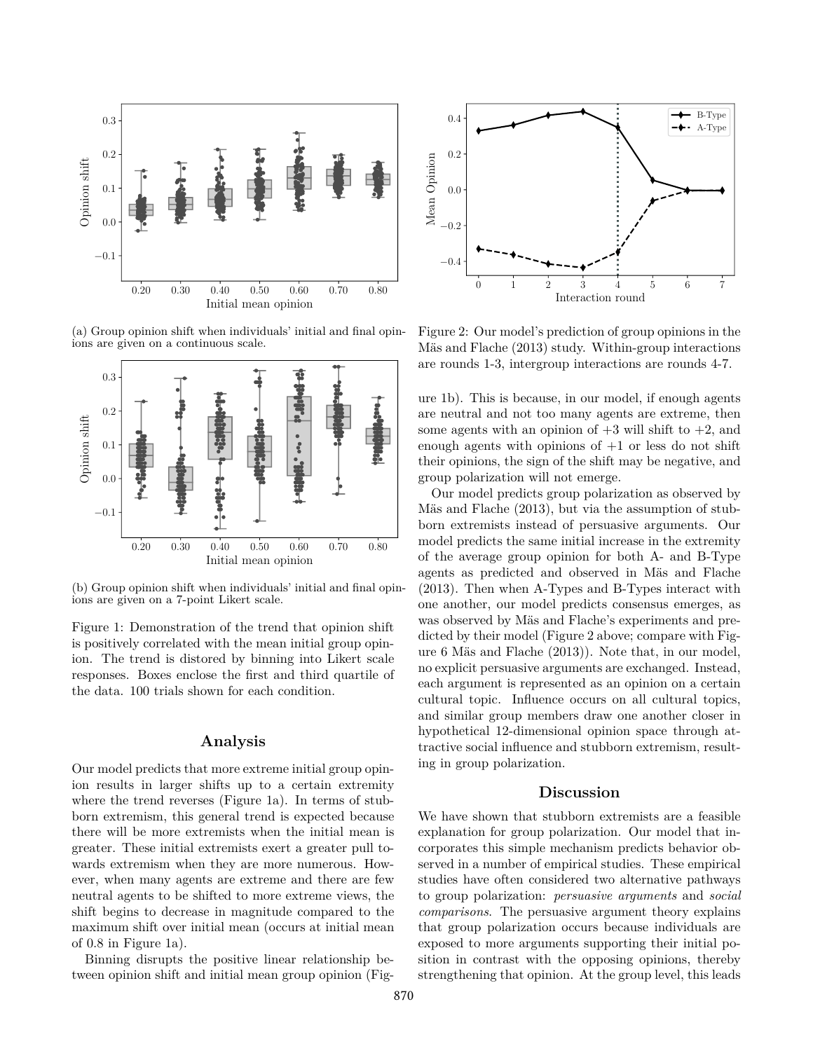<span id="page-4-0"></span>

(a) Group opinion shift when individuals' initial and final opinions are given on a continuous scale.



(b) Group opinion shift when individuals' initial and final opinions are given on a 7-point Likert scale.

Figure 1: Demonstration of the trend that opinion shift is positively correlated with the mean initial group opinion. The trend is distored by binning into Likert scale responses. Boxes enclose the first and third quartile of the data. 100 trials shown for each condition.

## **Analysis**

Our model predicts that more extreme initial group opinion results in larger shifts up to a certain extremity where the trend reverses (Figure [1a\)](#page-4-0). In terms of stubborn extremism, this general trend is expected because there will be more extremists when the initial mean is greater. These initial extremists exert a greater pull towards extremism when they are more numerous. However, when many agents are extreme and there are few neutral agents to be shifted to more extreme views, the shift begins to decrease in magnitude compared to the maximum shift over initial mean (occurs at initial mean of 0.8 in Figure [1a\)](#page-4-0).

Binning disrupts the positive linear relationship between opinion shift and initial mean group opinion (Fig-

<span id="page-4-1"></span>

Figure 2: Our model's prediction of group opinions in the Mäs and Flache (2013) study. Within-group interactions are rounds 1-3, intergroup interactions are rounds 4-7.

ure [1b\)](#page-4-0). This is because, in our model, if enough agents are neutral and not too many agents are extreme, then some agents with an opinion of  $+3$  will shift to  $+2$ , and enough agents with opinions of  $+1$  or less do not shift their opinions, the sign of the shift may be negative, and group polarization will not emerge.

Our model predicts group polarization as observed by Mäs and Flache  $(2013)$ , but via the assumption of stubborn extremists instead of persuasive arguments. Our model predicts the same initial increase in the extremity of the average group opinion for both A- and B-Type agents as predicted and observed in Mäs and Flache [\(2013\)](#page-6-22). Then when A-Types and B-Types interact with one another, our model predicts consensus emerges, as was observed by Mäs and Flache's experiments and predicted by their model (Figure [2](#page-4-1) above; compare with Figure 6 Mäs and Flache  $(2013)$ ). Note that, in our model, no explicit persuasive arguments are exchanged. Instead, each argument is represented as an opinion on a certain cultural topic. Influence occurs on all cultural topics, and similar group members draw one another closer in hypothetical 12-dimensional opinion space through attractive social influence and stubborn extremism, resulting in group polarization.

## **Discussion**

We have shown that stubborn extremists are a feasible explanation for group polarization. Our model that incorporates this simple mechanism predicts behavior observed in a number of empirical studies. These empirical studies have often considered two alternative pathways to group polarization: *persuasive arguments* and *social comparisons*. The persuasive argument theory explains that group polarization occurs because individuals are exposed to more arguments supporting their initial position in contrast with the opposing opinions, thereby strengthening that opinion. At the group level, this leads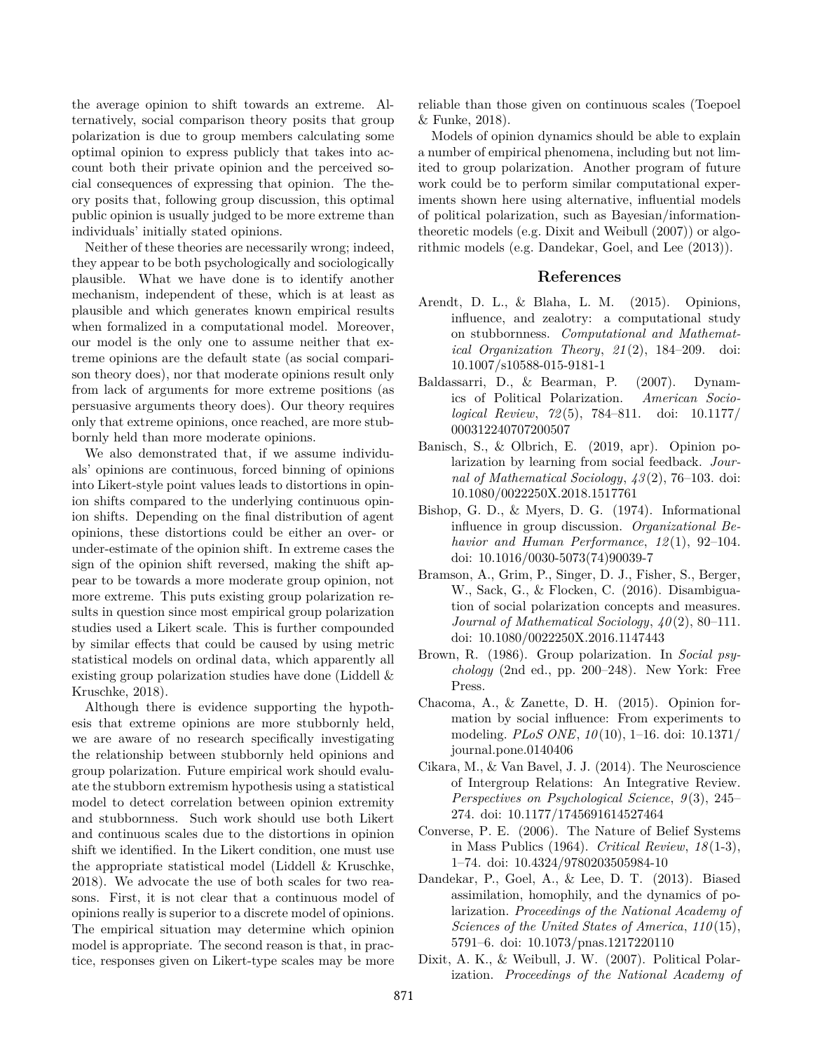the average opinion to shift towards an extreme. Alternatively, social comparison theory posits that group polarization is due to group members calculating some optimal opinion to express publicly that takes into account both their private opinion and the perceived social consequences of expressing that opinion. The theory posits that, following group discussion, this optimal public opinion is usually judged to be more extreme than individuals' initially stated opinions.

Neither of these theories are necessarily wrong; indeed, they appear to be both psychologically and sociologically plausible. What we have done is to identify another mechanism, independent of these, which is at least as plausible and which generates known empirical results when formalized in a computational model. Moreover, our model is the only one to assume neither that extreme opinions are the default state (as social comparison theory does), nor that moderate opinions result only from lack of arguments for more extreme positions (as persuasive arguments theory does). Our theory requires only that extreme opinions, once reached, are more stubbornly held than more moderate opinions.

We also demonstrated that, if we assume individuals' opinions are continuous, forced binning of opinions into Likert-style point values leads to distortions in opinion shifts compared to the underlying continuous opinion shifts. Depending on the final distribution of agent opinions, these distortions could be either an over- or under-estimate of the opinion shift. In extreme cases the sign of the opinion shift reversed, making the shift appear to be towards a more moderate group opinion, not more extreme. This puts existing group polarization results in question since most empirical group polarization studies used a Likert scale. This is further compounded by similar effects that could be caused by using metric statistical models on ordinal data, which apparently all existing group polarization studies have done [\(Liddell &](#page-6-21) [Kruschke,](#page-6-21) [2018\)](#page-6-21).

Although there is evidence supporting the hypothesis that extreme opinions are more stubbornly held, we are aware of no research specifically investigating the relationship between stubbornly held opinions and group polarization. Future empirical work should evaluate the stubborn extremism hypothesis using a statistical model to detect correlation between opinion extremity and stubbornness. Such work should use both Likert and continuous scales due to the distortions in opinion shift we identified. In the Likert condition, one must use the appropriate statistical model [\(Liddell & Kruschke,](#page-6-21) [2018\)](#page-6-21). We advocate the use of both scales for two reasons. First, it is not clear that a continuous model of opinions really is superior to a discrete model of opinions. The empirical situation may determine which opinion model is appropriate. The second reason is that, in practice, responses given on Likert-type scales may be more reliable than those given on continuous scales [\(Toepoel](#page-6-27) [& Funke,](#page-6-27) [2018\)](#page-6-27).

Models of opinion dynamics should be able to explain a number of empirical phenomena, including but not limited to group polarization. Another program of future work could be to perform similar computational experiments shown here using alternative, influential models of political polarization, such as Bayesian/informationtheoretic models (e.g. [Dixit and Weibull](#page-5-9) [\(2007\)](#page-5-9)) or algorithmic models (e.g. [Dandekar, Goel, and Lee](#page-5-10) [\(2013\)](#page-5-10)).

#### **References**

- <span id="page-5-6"></span>Arendt, D. L., & Blaha, L. M. (2015). Opinions, influence, and zealotry: a computational study on stubbornness. *Computational and Mathematical Organization Theory*, *21* (2), 184–209. doi: 10.1007/s10588-015-9181-1
- <span id="page-5-5"></span>Baldassarri, D., & Bearman, P. (2007). Dynamics of Political Polarization. *American Sociological Review*, *72* (5), 784–811. doi: 10.1177/ 000312240707200507
- <span id="page-5-4"></span>Banisch, S., & Olbrich, E. (2019, apr). Opinion polarization by learning from social feedback. *Journal of Mathematical Sociology*, *43* (2), 76–103. doi: 10.1080/0022250X.2018.1517761
- <span id="page-5-2"></span>Bishop, G. D., & Myers, D. G. (1974). Informational influence in group discussion. *Organizational Behavior and Human Performance*, *12* (1), 92–104. doi: 10.1016/0030-5073(74)90039-7
- <span id="page-5-1"></span>Bramson, A., Grim, P., Singer, D. J., Fisher, S., Berger, W., Sack, G., & Flocken, C. (2016). Disambiguation of social polarization concepts and measures. *Journal of Mathematical Sociology*, *40* (2), 80–111. doi: 10.1080/0022250X.2016.1147443
- <span id="page-5-0"></span>Brown, R. (1986). Group polarization. In *Social psychology* (2nd ed., pp. 200–248). New York: Free Press.
- <span id="page-5-8"></span>Chacoma, A., & Zanette, D. H. (2015). Opinion formation by social influence: From experiments to modeling. *PLoS ONE*, *10* (10), 1–16. doi: 10.1371/ journal.pone.0140406
- <span id="page-5-3"></span>Cikara, M., & Van Bavel, J. J. (2014). The Neuroscience of Intergroup Relations: An Integrative Review. *Perspectives on Psychological Science*, *9* (3), 245– 274. doi: 10.1177/1745691614527464
- <span id="page-5-7"></span>Converse, P. E. (2006). The Nature of Belief Systems in Mass Publics (1964). *Critical Review*, *18* (1-3), 1–74. doi: 10.4324/9780203505984-10
- <span id="page-5-10"></span>Dandekar, P., Goel, A., & Lee, D. T. (2013). Biased assimilation, homophily, and the dynamics of polarization. *Proceedings of the National Academy of Sciences of the United States of America*, *110* (15), 5791–6. doi: 10.1073/pnas.1217220110
- <span id="page-5-9"></span>Dixit, A. K., & Weibull, J. W. (2007). Political Polarization. *Proceedings of the National Academy of*